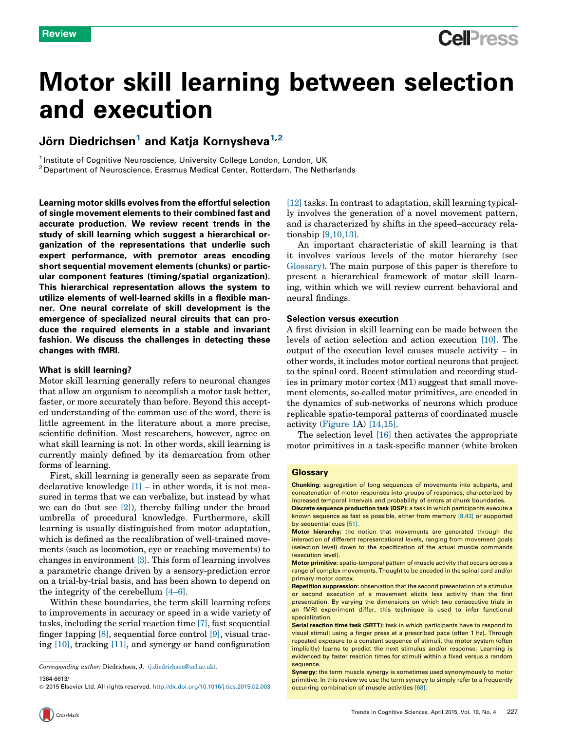# Motor skill learning between selection and execution

## Jörn Diedrichsen<sup>1</sup> and Katja Kornysheva<sup>1,2</sup>

<sup>1</sup> Institute of Cognitive Neuroscience, University College London, London, UK<br><sup>2</sup> Department of Neuroscience, Erasmus Medical Center, Rotterdam, The Netherlands

Learning motor skills evolves from the effortful selection of single movement elements to their combined fast and accurate production. We review recent trends in the study of skill learning which suggest a hierarchical organization of the representations that underlie such expert performance, with premotor areas encoding short sequential movement elements (chunks) or particular component features (timing/spatial organization). This hierarchical representation allows the system to utilize elements of well-learned skills in a flexible manner. One neural correlate of skill development is the emergence of specialized neural circuits that can produce the required elements in a stable and invariant fashion. We discuss the challenges in detecting these changes with fMRI.

#### What is skill learning?

Motor skill learning generally refers to neuronal changes that allow an organism to accomplish a motor task better, faster, or more accurately than before. Beyond this accepted understanding of the common use of the word, there is little agreement in the literature about a more precise, scientific definition. Most researchers, however, agree on what skill learning is not. In other words, skill learning is currently mainly defined by its demarcation from other forms of learning.

First, skill learning is generally seen as separate from declarative knowledge  $[1]$  – in other words, it is not measured in terms that we can verbalize, but instead by what we can do (but see [\[2\]](#page-5-0)), thereby falling under the broad umbrella of procedural knowledge. Furthermore, skill learning is usually distinguished from motor adaptation, which is defined as the recalibration of well-trained movements (such as locomotion, eye or reaching movements) to changes in environment [\[3\].](#page-5-0) This form of learning involves a parametric change driven by a sensory-prediction error on a trial-by-trial basis, and has been shown to depend on the integrity of the cerebellum [\[4–6\].](#page-5-0)

Within these boundaries, the term skill learning refers to improvements in accuracy or speed in a wide variety of tasks, including the serial reaction time [\[7\],](#page-5-0) fast sequential finger tapping  $[8]$ , sequential force control  $[9]$ , visual tracing [\[10\],](#page-5-0) tracking [\[11\]](#page-5-0), and synergy or hand configuration

1364-6613/

[\[12\]](#page-5-0) tasks. In contrast to adaptation, skill learning typically involves the generation of a novel movement pattern, and is characterized by shifts in the speed–accuracy relationship [\[9,10,13\]](#page-5-0).

An important characteristic of skill learning is that it involves various levels of the motor hierarchy (see Glossary). The main purpose of this paper is therefore to present a hierarchical framework of motor skill learning, within which we will review current behavioral and neural findings.

#### Selection versus execution

A first division in skill learning can be made between the levels of action selection and action execution [\[10\].](#page-5-0) The output of the execution level causes muscle activity – in other words, it includes motor cortical neurons that project to the spinal cord. Recent stimulation and recording studies in primary motor cortex (M1) suggest that small movement elements, so-called motor primitives, are encoded in the dynamics of sub-networks of neurons which produce replicable spatio-temporal patterns of coordinated muscle activity [\(Figure](#page-1-0) 1A) [\[14,15\]](#page-5-0).

The selection level [\[16\]](#page-5-0) then activates the appropriate motor primitives in a task-specific manner (white broken

## **Glossary**

Chunking: segregation of long sequences of movements into subparts, and concatenation of motor responses into groups of responses, characterized by increased temporal intervals and probability of errors at chunk boundaries.

Discrete sequence production task (DSP): a task in which participants execute a known sequence as fast as possible, either from memory [\[8,43\]](#page-5-0) or supported by sequential cues [\[51\]](#page-6-0).

Corresponding author: Diedrichsen, J. ([j.diedrichsen@ucl.ac.uk\)](mailto:j.diedrichsen@ucl.ac.uk).

<sup>© 2015</sup> Elsevier Ltd. All rights reserved. <http://dx.doi.org/10.1016/j.tics.2015.02.003>

Motor hierarchy: the notion that movements are generated through the interaction of different representational levels, ranging from movement goals (selection level) down to the specification of the actual muscle commands (execution level).

Motor primitive: spatio-temporal pattern of muscle activity that occurs across a range of complex movements. Thought to be encoded in the spinal cord and/or primary motor cortex.

Repetition suppression: observation that the second presentation of a stimulus or second execution of a movement elicits less activity than the first presentation. By varying the dimensions on which two consecutive trials in an fMRI experiment differ, this technique is used to infer functional specialization.

Serial reaction time task (SRTT): task in which participants have to respond to visual stimuli using a finger press at a prescribed pace (often 1 Hz). Through repeated exposure to a constant sequence of stimuli, the motor system (often implicitly) learns to predict the next stimulus and/or response. Learning is evidenced by faster reaction times for stimuli within a fixed versus a random sequence.

Synergy: the term muscle synergy is sometimes used synonymously to motor primitive. In this review we use the term synergy to simply refer to a frequently occurring combination of muscle activities [\[68\]](#page-6-0).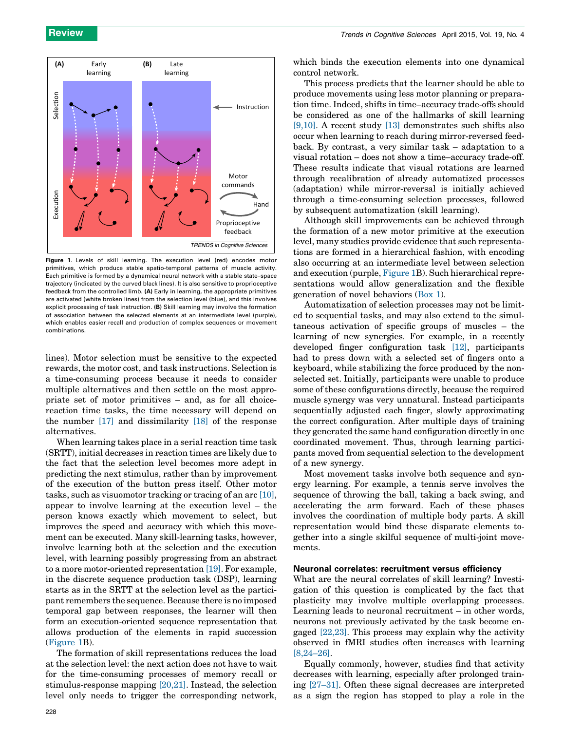<span id="page-1-0"></span>

Figure 1. Levels of skill learning. The execution level (red) encodes motor primitives, which produce stable spatio-temporal patterns of muscle activity. Each primitive is formed by a dynamical neural network with a stable state–space trajectory (indicated by the curved black lines). It is also sensitive to proprioceptive feedback from the controlled limb. (A) Early in learning, the appropriate primitives are activated (white broken lines) from the selection level (blue), and this involves explicit processing of task instruction. (B) Skill learning may involve the formation of association between the selected elements at an intermediate level (purple), which enables easier recall and production of complex sequences or movement combinations.

lines). Motor selection must be sensitive to the expected rewards, the motor cost, and task instructions. Selection is a time-consuming process because it needs to consider multiple alternatives and then settle on the most appropriate set of motor primitives – and, as for all choicereaction time tasks, the time necessary will depend on the number [\[17\]](#page-5-0) and dissimilarity [\[18\]](#page-5-0) of the response alternatives.

When learning takes place in a serial reaction time task (SRTT), initial decreases in reaction times are likely due to the fact that the selection level becomes more adept in predicting the next stimulus, rather than by improvement of the execution of the button press itself. Other motor tasks, such as visuomotor tracking or tracing of an arc [\[10\]](#page-5-0), appear to involve learning at the execution level – the person knows exactly which movement to select, but improves the speed and accuracy with which this movement can be executed. Many skill-learning tasks, however, involve learning both at the selection and the execution level, with learning possibly progressing from an abstract to a more motor-oriented representation [\[19\]](#page-5-0). For example, in the discrete sequence production task (DSP), learning starts as in the SRTT at the selection level as the participant remembers the sequence. Because there is no imposed temporal gap between responses, the learner will then form an execution-oriented sequence representation that allows production of the elements in rapid succession (Figure 1B).

The formation of skill representations reduces the load at the selection level: the next action does not have to wait for the time-consuming processes of memory recall or stimulus-response mapping [\[20,21\]](#page-5-0). Instead, the selection level only needs to trigger the corresponding network, which binds the execution elements into one dynamical control network.

This process predicts that the learner should be able to produce movements using less motor planning or preparation time. Indeed, shifts in time–accuracy trade-offs should be considered as one of the hallmarks of skill learning [\[9,10\].](#page-5-0) A recent study [\[13\]](#page-5-0) demonstrates such shifts also occur when learning to reach during mirror-reversed feedback. By contrast, a very similar task – adaptation to a visual rotation – does not show a time–accuracy trade-off. These results indicate that visual rotations are learned through recalibration of already automatized processes (adaptation) while mirror-reversal is initially achieved through a time-consuming selection processes, followed by subsequent automatization (skill learning).

Although skill improvements can be achieved through the formation of a new motor primitive at the execution level, many studies provide evidence that such representations are formed in a hierarchical fashion, with encoding also occurring at an intermediate level between selection and execution (purple, Figure 1B). Such hierarchical representations would allow generalization and the flexible generation of novel behaviors ([Box](#page-2-0) 1).

Automatization of selection processes may not be limited to sequential tasks, and may also extend to the simultaneous activation of specific groups of muscles – the learning of new synergies. For example, in a recently developed finger configuration task [\[12\]](#page-5-0), participants had to press down with a selected set of fingers onto a keyboard, while stabilizing the force produced by the nonselected set. Initially, participants were unable to produce some of these configurations directly, because the required muscle synergy was very unnatural. Instead participants sequentially adjusted each finger, slowly approximating the correct configuration. After multiple days of training they generated the same hand configuration directly in one coordinated movement. Thus, through learning participants moved from sequential selection to the development of a new synergy.

Most movement tasks involve both sequence and synergy learning. For example, a tennis serve involves the sequence of throwing the ball, taking a back swing, and accelerating the arm forward. Each of these phases involves the coordination of multiple body parts. A skill representation would bind these disparate elements together into a single skilful sequence of multi-joint movements.

#### Neuronal correlates: recruitment versus efficiency

What are the neural correlates of skill learning? Investigation of this question is complicated by the fact that plasticity may involve multiple overlapping processes. Learning leads to neuronal recruitment – in other words, neurons not previously activated by the task become engaged [\[22,23\].](#page-5-0) This process may explain why the activity observed in fMRI studies often increases with learning [\[8,24–26\].](#page-5-0)

Equally commonly, however, studies find that activity decreases with learning, especially after prolonged training [\[27–31\].](#page-5-0) Often these signal decreases are interpreted as a sign the region has stopped to play a role in the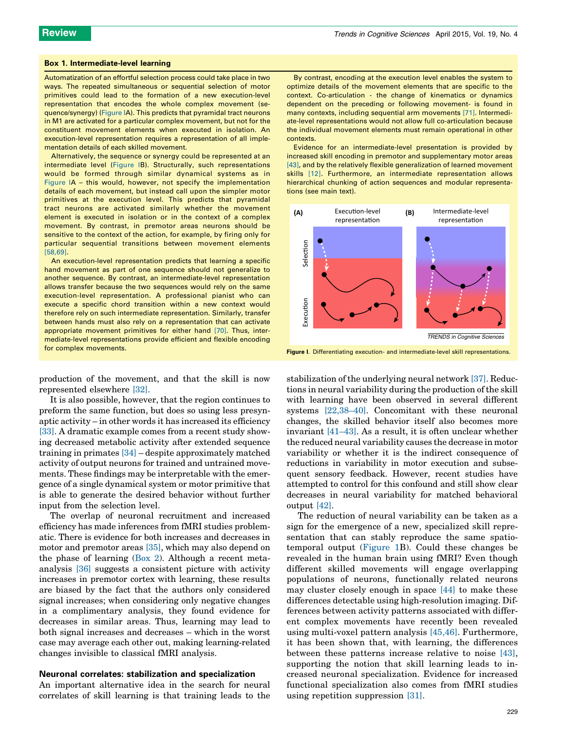#### <span id="page-2-0"></span>Box 1. Intermediate-level learning

Automatization of an effortful selection process could take place in two ways. The repeated simultaneous or sequential selection of motor primitives could lead to the formation of a new execution-level representation that encodes the whole complex movement (sequence/synergy) (Figure IA). This predicts that pyramidal tract neurons in M1 are activated for a particular complex movement, but not for the constituent movement elements when executed in isolation. An execution-level representation requires a representation of all implementation details of each skilled movement.

Alternatively, the sequence or synergy could be represented at an intermediate level (Figure IB). Structurally, such representations would be formed through similar dynamical systems as in Figure IA – this would, however, not specify the implementation details of each movement, but instead call upon the simpler motor primitives at the execution level. This predicts that pyramidal tract neurons are activated similarly whether the movement element is executed in isolation or in the context of a complex movement. By contrast, in premotor areas neurons should be sensitive to the context of the action, for example, by firing only for particular sequential transitions between movement elements [\[58,69\].](#page-6-0)

An execution-level representation predicts that learning a specific hand movement as part of one sequence should not generalize to another sequence. By contrast, an intermediate-level representation allows transfer because the two sequences would rely on the same execution-level representation. A professional pianist who can execute a specific chord transition within a new context would therefore rely on such intermediate representation. Similarly, transfer between hands must also rely on a representation that can activate appropriate movement primitives for either hand [\[70\].](#page-6-0) Thus, intermediate-level representations provide efficient and flexible encoding for complex movements.

production of the movement, and that the skill is now represented elsewhere [\[32\]](#page-5-0).

It is also possible, however, that the region continues to preform the same function, but does so using less presynaptic activity – in other words it has increased its efficiency [\[33\]](#page-6-0). A dramatic example comes from a recent study showing decreased metabolic activity after extended sequence training in primates [\[34\]](#page-6-0) – despite approximately matched activity of output neurons for trained and untrained movements. These findings may be interpretable with the emergence of a single dynamical system or motor primitive that is able to generate the desired behavior without further input from the selection level.

The overlap of neuronal recruitment and increased efficiency has made inferences from fMRI studies problematic. There is evidence for both increases and decreases in motor and premotor areas [\[35\],](#page-6-0) which may also depend on the phase of learning ([Box](#page-3-0) 2). Although a recent metaanalysis [\[36\]](#page-6-0) suggests a consistent picture with activity increases in premotor cortex with learning, these results are biased by the fact that the authors only considered signal increases; when considering only negative changes in a complimentary analysis, they found evidence for decreases in similar areas. Thus, learning may lead to both signal increases and decreases – which in the worst case may average each other out, making learning-related changes invisible to classical fMRI analysis.

#### Neuronal correlates: stabilization and specialization

An important alternative idea in the search for neural correlates of skill learning is that training leads to the

By contrast, encoding at the execution level enables the system to optimize details of the movement elements that are specific to the context. Co-articulation - the change of kinematics or dynamics dependent on the preceding or following movement- is found in many contexts, including sequential arm movements [\[71\].](#page-6-0) Intermediate-level representations would not allow full co-articulation because the individual movement elements must remain operational in other contexts.

Evidence for an intermediate-level presentation is provided by increased skill encoding in premotor and supplementary motor areas [\[43\],](#page-6-0) and by the relatively flexible generalization of learned movement skills [\[12\].](#page-5-0) Furthermore, an intermediate representation allows hierarchical chunking of action sequences and modular representations (see main text).



Figure I. Differentiating execution- and intermediate-level skill representations.

stabilization of the underlying neural network [\[37\]](#page-6-0). Reductions in neural variability during the production of the skill with learning have been observed in several different systems [\[22,38–40\].](#page-5-0) Concomitant with these neuronal changes, the skilled behavior itself also becomes more invariant [\[41–43\]](#page-6-0). As a result, it is often unclear whether the reduced neural variability causes the decrease in motor variability or whether it is the indirect consequence of reductions in variability in motor execution and subsequent sensory feedback. However, recent studies have attempted to control for this confound and still show clear decreases in neural variability for matched behavioral output [\[42\]](#page-6-0).

The reduction of neural variability can be taken as a sign for the emergence of a new, specialized skill representation that can stably reproduce the same spatiotemporal output [\(Figure](#page-1-0) 1B). Could these changes be revealed in the human brain using fMRI? Even though different skilled movements will engage overlapping populations of neurons, functionally related neurons may cluster closely enough in space [\[44\]](#page-6-0) to make these differences detectable using high-resolution imaging. Differences between activity patterns associated with different complex movements have recently been revealed using multi-voxel pattern analysis [\[45,46\]](#page-6-0). Furthermore, it has been shown that, with learning, the differences between these patterns increase relative to noise [\[43\]](#page-6-0), supporting the notion that skill learning leads to increased neuronal specialization. Evidence for increased functional specialization also comes from fMRI studies using repetition suppression [\[31\].](#page-5-0)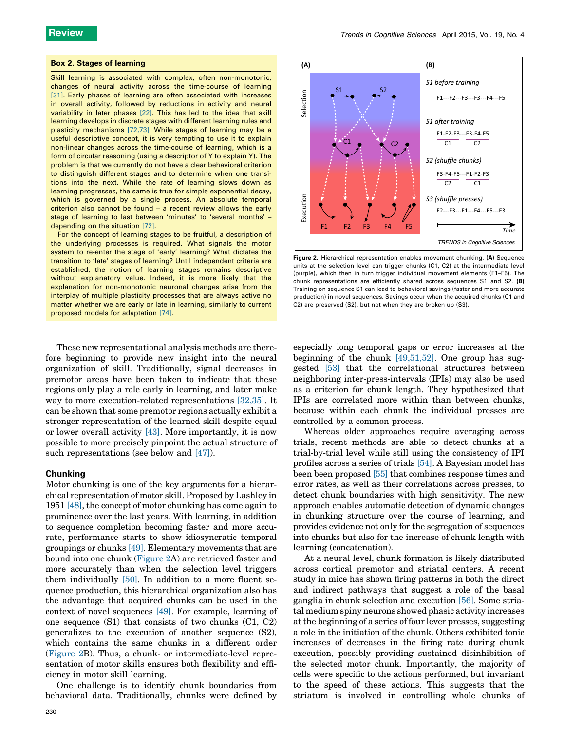#### <span id="page-3-0"></span>Box 2. Stages of learning

Skill learning is associated with complex, often non-monotonic, changes of neural activity across the time-course of learning [\[31\].](#page-5-0) Early phases of learning are often associated with increases in overall activity, followed by reductions in activity and neural variability in later phases [\[22\]](#page-5-0). This has led to the idea that skill learning develops in discrete stages with different learning rules and plasticity mechanisms [\[72,73\]](#page-6-0). While stages of learning may be a useful descriptive concept, it is very tempting to use it to explain non-linear changes across the time-course of learning, which is a form of circular reasoning (using a descriptor of Y to explain Y). The problem is that we currently do not have a clear behavioral criterion to distinguish different stages and to determine when one transitions into the next. While the rate of learning slows down as learning progresses, the same is true for simple exponential decay, which is governed by a single process. An absolute temporal criterion also cannot be found – a recent review allows the early stage of learning to last between 'minutes' to 'several months' – depending on the situation [\[72\].](#page-6-0)

For the concept of learning stages to be fruitful, a description of the underlying processes is required. What signals the motor system to re-enter the stage of 'early' learning? What dictates the transition to 'late' stages of learning? Until independent criteria are established, the notion of learning stages remains descriptive without explanatory value. Indeed, it is more likely that the explanation for non-monotonic neuronal changes arise from the interplay of multiple plasticity processes that are always active no matter whether we are early or late in learning, similarly to current proposed models for adaptation [\[74\]](#page-6-0).

These new representational analysis methods are therefore beginning to provide new insight into the neural organization of skill. Traditionally, signal decreases in premotor areas have been taken to indicate that these regions only play a role early in learning, and later make way to more execution-related representations [\[32,35\]](#page-5-0). It can be shown that some premotor regions actually exhibit a stronger representation of the learned skill despite equal or lower overall activity [\[43\].](#page-6-0) More importantly, it is now possible to more precisely pinpoint the actual structure of such representations (see below and [\[47\]](#page-6-0)).

#### Chunking

Motor chunking is one of the key arguments for a hierarchical representation of motor skill. Proposed by Lashley in 1951 [\[48\]](#page-6-0), the concept of motor chunking has come again to prominence over the last years. With learning, in addition to sequence completion becoming faster and more accurate, performance starts to show idiosyncratic temporal groupings or chunks [\[49\].](#page-6-0) Elementary movements that are bound into one chunk (Figure 2A) are retrieved faster and more accurately than when the selection level triggers them individually [\[50\]](#page-6-0). In addition to a more fluent sequence production, this hierarchical organization also has the advantage that acquired chunks can be used in the context of novel sequences [\[49\]](#page-6-0). For example, learning of one sequence (S1) that consists of two chunks (C1, C2) generalizes to the execution of another sequence (S2), which contains the same chunks in a different order (Figure 2B). Thus, a chunk- or intermediate-level representation of motor skills ensures both flexibility and efficiency in motor skill learning.

One challenge is to identify chunk boundaries from behavioral data. Traditionally, chunks were defined by



Figure 2. Hierarchical representation enables movement chunking. (A) Sequence units at the selection level can trigger chunks (C1, C2) at the intermediate level (purple), which then in turn trigger individual movement elements (F1–F5). The chunk representations are efficiently shared across sequences S1 and S2. (B) Training on sequence S1 can lead to behavioral savings (faster and more accurate production) in novel sequences. Savings occur when the acquired chunks (C1 and C2) are preserved (S2), but not when they are broken up (S3).

especially long temporal gaps or error increases at the beginning of the chunk  $[49,51,52]$ . One group has suggested [\[53\]](#page-6-0) that the correlational structures between neighboring inter-press-intervals (IPIs) may also be used as a criterion for chunk length. They hypothesized that IPIs are correlated more within than between chunks, because within each chunk the individual presses are controlled by a common process.

Whereas older approaches require averaging across trials, recent methods are able to detect chunks at a trial-by-trial level while still using the consistency of IPI profiles across a series of trials [\[54\].](#page-6-0) A Bayesian model has been been proposed [\[55\]](#page-6-0) that combines response times and error rates, as well as their correlations across presses, to detect chunk boundaries with high sensitivity. The new approach enables automatic detection of dynamic changes in chunking structure over the course of learning, and provides evidence not only for the segregation of sequences into chunks but also for the increase of chunk length with learning (concatenation).

At a neural level, chunk formation is likely distributed across cortical premotor and striatal centers. A recent study in mice has shown firing patterns in both the direct and indirect pathways that suggest a role of the basal ganglia in chunk selection and execution [\[56\].](#page-6-0) Some striatal medium spiny neurons showed phasic activity increases at the beginning of a series of four lever presses, suggesting a role in the initiation of the chunk. Others exhibited tonic increases of decreases in the firing rate during chunk execution, possibly providing sustained disinhibition of the selected motor chunk. Importantly, the majority of cells were specific to the actions performed, but invariant to the speed of these actions. This suggests that the striatum is involved in controlling whole chunks of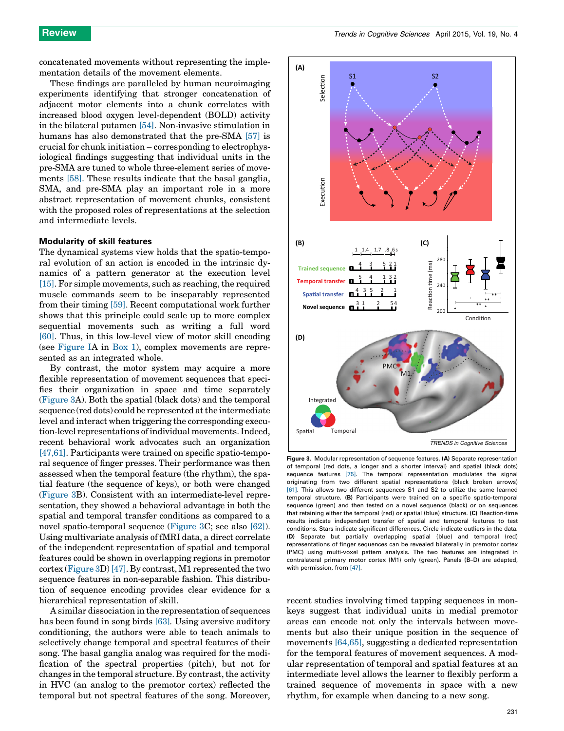concatenated movements without representing the implementation details of the movement elements.

These findings are paralleled by human neuroimaging experiments identifying that stronger concatenation of adjacent motor elements into a chunk correlates with increased blood oxygen level-dependent (BOLD) activity in the bilateral putamen [\[54\].](#page-6-0) Non-invasive stimulation in humans has also demonstrated that the pre-SMA [\[57\]](#page-6-0) is crucial for chunk initiation – corresponding to electrophysiological findings suggesting that individual units in the pre-SMA are tuned to whole three-element series of movements [\[58\].](#page-6-0) These results indicate that the basal ganglia, SMA, and pre-SMA play an important role in a more abstract representation of movement chunks, consistent with the proposed roles of representations at the selection and intermediate levels.

#### Modularity of skill features

The dynamical systems view holds that the spatio-temporal evolution of an action is encoded in the intrinsic dynamics of a pattern generator at the execution level [\[15\]](#page-5-0). For simple movements, such as reaching, the required muscle commands seem to be inseparably represented from their timing [\[59\]](#page-6-0). Recent computational work further shows that this principle could scale up to more complex sequential movements such as writing a full word [\[60\]](#page-6-0). Thus, in this low-level view of motor skill encoding (see [Figure](#page-2-0) IA in [Box](#page-2-0) 1), complex movements are represented as an integrated whole.

By contrast, the motor system may acquire a more flexible representation of movement sequences that specifies their organization in space and time separately (Figure 3A). Both the spatial (black dots) and the temporal sequence (red dots) could be represented at the intermediate level and interact when triggering the corresponding execution-level representations of individual movements. Indeed, recent behavioral work advocates such an organization [\[47,61\].](#page-6-0) Participants were trained on specific spatio-temporal sequence of finger presses. Their performance was then assessed when the temporal feature (the rhythm), the spatial feature (the sequence of keys), or both were changed (Figure 3B). Consistent with an intermediate-level representation, they showed a behavioral advantage in both the spatial and temporal transfer conditions as compared to a novel spatio-temporal sequence (Figure 3C; see also [\[62\]\)](#page-6-0). Using multivariate analysis of fMRI data, a direct correlate of the independent representation of spatial and temporal features could be shown in overlapping regions in premotor cortex (Figure 3D) [\[47\].](#page-6-0) By contrast, M1 represented the two sequence features in non-separable fashion. This distribution of sequence encoding provides clear evidence for a hierarchical representation of skill.

A similar dissociation in the representation of sequences has been found in song birds [\[63\]](#page-6-0). Using aversive auditory conditioning, the authors were able to teach animals to selectively change temporal and spectral features of their song. The basal ganglia analog was required for the modification of the spectral properties (pitch), but not for changes in the temporal structure. By contrast, the activity in HVC (an analog to the premotor cortex) reflected the temporal but not spectral features of the song. Moreover,



Figure 3. Modular representation of sequence features. (A) Separate representation of temporal (red dots, a longer and a shorter interval) and spatial (black dots) sequence features [\[75\]](#page-6-0). The temporal representation modulates the signal originating from two different spatial representations (black broken arrows) [\[61\].](#page-6-0) This allows two different sequences S1 and S2 to utilize the same learned temporal structure. (B) Participants were trained on a specific spatio-temporal sequence (green) and then tested on a novel sequence (black) or on sequences that retaining either the temporal (red) or spatial (blue) structure. (C) Reaction-time results indicate independent transfer of spatial and temporal features to test conditions. Stars indicate significant differences. Circle indicate outliers in the data. (D) Separate but partially overlapping spatial (blue) and temporal (red) representations of finger sequences can be revealed bilaterally in premotor cortex (PMC) using multi-voxel pattern analysis. The two features are integrated in contralateral primary motor cortex (M1) only (green). Panels (B–D) are adapted, with permission, from [\[47\]](#page-6-0).

recent studies involving timed tapping sequences in monkeys suggest that individual units in medial premotor areas can encode not only the intervals between movements but also their unique position in the sequence of movements [\[64,65\]](#page-6-0), suggesting a dedicated representation for the temporal features of movement sequences. A modular representation of temporal and spatial features at an intermediate level allows the learner to flexibly perform a trained sequence of movements in space with a new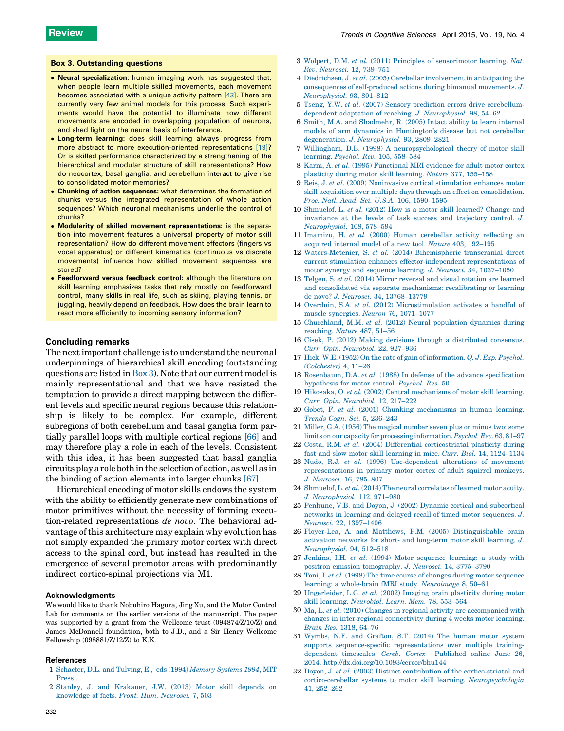#### <span id="page-5-0"></span>Box 3. Outstanding questions

- Neural specialization: human imaging work has suggested that, when people learn multiple skilled movements, each movement becomes associated with a unique activity pattern [\[43\].](#page-6-0) There are currently very few animal models for this process. Such experiments would have the potential to illuminate how different movements are encoded in overlapping population of neurons, and shed light on the neural basis of interference.
- Long-term learning: does skill learning always progress from more abstract to more execution-oriented representations [19]? Or is skilled performance characterized by a strengthening of the hierarchical and modular structure of skill representations? How do neocortex, basal ganglia, and cerebellum interact to give rise to consolidated motor memories?
- Chunking of action sequences: what determines the formation of chunks versus the integrated representation of whole action sequences? Which neuronal mechanisms underlie the control of chunks?
- Modularity of skilled movement representations: is the separation into movement features a universal property of motor skill representation? How do different movement effectors (fingers vs vocal apparatus) or different kinematics (continuous vs discrete movements) influence how skilled movement sequences are stored?
- **Feedforward versus feedback control**: although the literature on skill learning emphasizes tasks that rely mostly on feedforward control, many skills in real life, such as skiing, playing tennis, or juggling, heavily depend on feedback. How does the brain learn to react more efficiently to incoming sensory information?

## Concluding remarks

The nextimportant challenge is to understand the neuronal underpinnings of hierarchical skill encoding (outstanding questions are listed in Box 3). Note that our current model is mainly representational and that we have resisted the temptation to provide a direct mapping between the different levels and specific neural regions because this relationship is likely to be complex. For example, different subregions of both cerebellum and basal ganglia form partially parallel loops with multiple cortical regions [\[66\]](#page-6-0) and may therefore play a role in each of the levels. Consistent with this idea, it has been suggested that basal ganglia circuits play a role both in the selection of action, as well as in the binding of action elements into larger chunks [\[67\]](#page-6-0).

Hierarchical encoding of motor skills endows the system with the ability to efficiently generate new combinations of motor primitives without the necessity of forming execution-related representations de novo. The behavioral advantage of this architecture may explain why evolution has not simply expanded the primary motor cortex with direct access to the spinal cord, but instead has resulted in the emergence of several premotor areas with predominantly indirect cortico-spinal projections via M1.

#### Acknowledgments

We would like to thank Nobuhiro Hagura, Jing Xu, and the Motor Control Lab for comments on the earlier versions of the manuscript. The paper was supported by a grant from the Wellcome trust (094874/Z/10/Z) and James McDonnell foundation, both to J.D., and a Sir Henry Wellcome Fellowship (098881/Z/12/Z) to K.K.

#### References

- 1 [Schacter,](http://refhub.elsevier.com/S1364-6613(15)00027-3/sbref0750) D.L. and Tulving, E., eds (1994) Memory Systems 1994, MIT [Press](http://refhub.elsevier.com/S1364-6613(15)00027-3/sbref0750)
- 2 Stanley, J. and [Krakauer,](http://refhub.elsevier.com/S1364-6613(15)00027-3/sbref0380) J.W. (2013) Motor skill depends on [knowledge](http://refhub.elsevier.com/S1364-6613(15)00027-3/sbref0380) of facts. Front. Hum. Neurosci. 7, 503
- 3 Wolpert, D.M. et al. (2011) Principles of [sensorimotor](http://refhub.elsevier.com/S1364-6613(15)00027-3/sbref0385) learning. Nat. Rev. [Neurosci.](http://refhub.elsevier.com/S1364-6613(15)00027-3/sbref0385) 12, 739–751
- 4 [Diedrichsen,](http://refhub.elsevier.com/S1364-6613(15)00027-3/sbref0390) J. et al. (2005) Cerebellar involvement in anticipating the [consequences](http://refhub.elsevier.com/S1364-6613(15)00027-3/sbref0390) of self-produced actions during bimanual movements. J. [Neurophysiol.](http://refhub.elsevier.com/S1364-6613(15)00027-3/sbref0390) 93, 801–812
- 5 Tseng, Y.W. et al. (2007) Sensory prediction errors drive [cerebellum](http://refhub.elsevier.com/S1364-6613(15)00027-3/sbref0395)dependent adaptation of reaching. J. [Neurophysiol.](http://refhub.elsevier.com/S1364-6613(15)00027-3/sbref0395) 98, 54–62
- 6 Smith, M.A. and [Shadmehr,](http://refhub.elsevier.com/S1364-6613(15)00027-3/sbref0400) R. (2005) Intact ability to learn internal models of arm dynamics in [Huntington's](http://refhub.elsevier.com/S1364-6613(15)00027-3/sbref0400) disease but not cerebellar degeneration. J. [Neurophysiol.](http://refhub.elsevier.com/S1364-6613(15)00027-3/sbref0400) 93, 2809–2821
- 7 Willingham, D.B. (1998) A [neuropsychological](http://refhub.elsevier.com/S1364-6613(15)00027-3/sbref0405) theory of motor skill [learning.](http://refhub.elsevier.com/S1364-6613(15)00027-3/sbref0405) Psychol. Rev. 105, 558–584
- 8 Karni, A. et al. (1995) [Functional](http://refhub.elsevier.com/S1364-6613(15)00027-3/sbref0410) MRI evidence for adult motor cortex [plasticity](http://refhub.elsevier.com/S1364-6613(15)00027-3/sbref0410) during motor skill learning. Nature 377, 155–158
- 9 Reis, J. et al. (2009) [Noninvasive](http://refhub.elsevier.com/S1364-6613(15)00027-3/sbref0415) cortical stimulation enhances motor skill acquisition over multiple days through an effect on [consolidation.](http://refhub.elsevier.com/S1364-6613(15)00027-3/sbref0415) Proc. Natl. Acad. Sci. U.S.A. 106, [1590–1595](http://refhub.elsevier.com/S1364-6613(15)00027-3/sbref0415)
- 10 [Shmuelof,](http://refhub.elsevier.com/S1364-6613(15)00027-3/sbref0420) L. et al. (2012) How is a motor skill learned? Change and [invariance](http://refhub.elsevier.com/S1364-6613(15)00027-3/sbref0420) at the levels of task success and trajectory control. J. [Neurophysiol.](http://refhub.elsevier.com/S1364-6613(15)00027-3/sbref0420) 108, 578–594
- 11 Imamizu, H. et al. (2000) Human [cerebellar](http://refhub.elsevier.com/S1364-6613(15)00027-3/sbref0425) activity reflecting an [acquired](http://refhub.elsevier.com/S1364-6613(15)00027-3/sbref0425) internal model of a new tool. Nature 403, 192–195
- 12 [Waters-Metenier,](http://refhub.elsevier.com/S1364-6613(15)00027-3/sbref0430) S. et al. (2014) Bihemispheric transcranial direct current stimulation enhances [effector-independent](http://refhub.elsevier.com/S1364-6613(15)00027-3/sbref0430) representations of motor synergy and sequence learning. J. Neurosci. 34, [1037–1050](http://refhub.elsevier.com/S1364-6613(15)00027-3/sbref0430)
- 13 Telgen, S. et al. (2014) Mirror [reversal](http://refhub.elsevier.com/S1364-6613(15)00027-3/sbref0435) and visual rotation are learned and consolidated via separate [mechanisms:](http://refhub.elsevier.com/S1364-6613(15)00027-3/sbref0435) recalibrating or learning de novo? J. Neurosci. 34, [13768–13779](http://refhub.elsevier.com/S1364-6613(15)00027-3/sbref0435)
- 14 Overduin, S.A. et al. (2012) [Microstimulation](http://refhub.elsevier.com/S1364-6613(15)00027-3/sbref0440) activates a handful of muscle synergies. Neuron 76, [1071–1077](http://refhub.elsevier.com/S1364-6613(15)00027-3/sbref0440)
- 15 [Churchland,](http://refhub.elsevier.com/S1364-6613(15)00027-3/sbref0445) M.M. et al. (2012) Neural population dynamics during [reaching.](http://refhub.elsevier.com/S1364-6613(15)00027-3/sbref0445) Nature 487, 51–56
- 16 Cisek, P. (2012) Making decisions through a [distributed](http://refhub.elsevier.com/S1364-6613(15)00027-3/sbref0450) consensus. Curr. Opin. [Neurobiol.](http://refhub.elsevier.com/S1364-6613(15)00027-3/sbref0450) 22, 927–936
- 17 Hick, W.E. (1952) On the rate of gain of [information.](http://refhub.elsevier.com/S1364-6613(15)00027-3/sbref0455) Q. J. Exp. Psychol. [\(Colchester\)](http://refhub.elsevier.com/S1364-6613(15)00027-3/sbref0455) 4, 11–26
- 18 Rosenbaum, D.A. et al. (1988) In defense of the advance [specification](http://refhub.elsevier.com/S1364-6613(15)00027-3/sbref0460) [hypothesis](http://refhub.elsevier.com/S1364-6613(15)00027-3/sbref0460) for motor control. Psychol. Res. 50
- 19 Hikosaka, O. et al. (2002) Central [mechanisms](http://refhub.elsevier.com/S1364-6613(15)00027-3/sbref0465) of motor skill learning. Curr. Opin. [Neurobiol.](http://refhub.elsevier.com/S1364-6613(15)00027-3/sbref0465) 12, 217–222
- 20 Gobet, F. et al. (2001) Chunking [mechanisms](http://refhub.elsevier.com/S1364-6613(15)00027-3/sbref0470) in human learning. Trends Cogn. Sci. 5, [236–243](http://refhub.elsevier.com/S1364-6613(15)00027-3/sbref0470)
- 21 Miller, G.A. (1956) The magical [number](http://refhub.elsevier.com/S1364-6613(15)00027-3/sbref0475) seven plus or minus two: some limits on our capacity for processing [information.](http://refhub.elsevier.com/S1364-6613(15)00027-3/sbref0475)Psychol. Rev. 63, 81–97
- 22 Costa, R.M. et al. (2004) Differential [corticostriatal](http://refhub.elsevier.com/S1364-6613(15)00027-3/sbref0480) plasticity during fast and slow motor skill learning in mice. Curr. Biol. 14, [1124–1134](http://refhub.elsevier.com/S1364-6613(15)00027-3/sbref0480)
- 23 Nudo, R.J. et al. (1996) [Use-dependent](http://refhub.elsevier.com/S1364-6613(15)00027-3/sbref0485) alterations of movement [representations](http://refhub.elsevier.com/S1364-6613(15)00027-3/sbref0485) in primary motor cortex of adult squirrel monkeys. J. [Neurosci.](http://refhub.elsevier.com/S1364-6613(15)00027-3/sbref0485) 16, 785–807
- 24 [Shmuelof,](http://refhub.elsevier.com/S1364-6613(15)00027-3/sbref0490) L. et al. (2014) The neural correlates of learned motor acuity. J. [Neurophysiol.](http://refhub.elsevier.com/S1364-6613(15)00027-3/sbref0490) 112, 971–980
- 25 Penhune, V.B. and Doyon, J. (2002) Dynamic cortical and [subcortical](http://refhub.elsevier.com/S1364-6613(15)00027-3/sbref0495) networks in learning and delayed recall of timed motor [sequences.](http://refhub.elsevier.com/S1364-6613(15)00027-3/sbref0495) J. Neurosci. 22, [1397–1406](http://refhub.elsevier.com/S1364-6613(15)00027-3/sbref0495)
- 26 Floyer-Lea, A. and Matthews, P.M. (2005) [Distinguishable](http://refhub.elsevier.com/S1364-6613(15)00027-3/sbref0500) brain [activation](http://refhub.elsevier.com/S1364-6613(15)00027-3/sbref0500) networks for short- and long-term motor skill learning. J. [Neurophysiol.](http://refhub.elsevier.com/S1364-6613(15)00027-3/sbref0500) 94, 512–518
- 27 Jenkins, I.H. et al. (1994) Motor [sequence](http://refhub.elsevier.com/S1364-6613(15)00027-3/sbref0505) learning: a study with positron emission [tomography.](http://refhub.elsevier.com/S1364-6613(15)00027-3/sbref0505) J. Neurosci. 14, 3775–3790
- 28 Toni, I. et al. (1998) The time course of changes during motor [sequence](http://refhub.elsevier.com/S1364-6613(15)00027-3/sbref0510) learning: a whole-brain fMRI study. [Neuroimage](http://refhub.elsevier.com/S1364-6613(15)00027-3/sbref0510) 8, 50-61
- 29 [Ungerleider,](http://refhub.elsevier.com/S1364-6613(15)00027-3/sbref0515) L.G. et al. (2002) Imaging brain plasticity during motor skill learning. [Neurobiol.](http://refhub.elsevier.com/S1364-6613(15)00027-3/sbref0515) Learn. Mem. 78, 553–564
- 30 Ma, L. et al. (2010) Changes in regional activity are [accompanied](http://refhub.elsevier.com/S1364-6613(15)00027-3/sbref0520) with changes in [inter-regional](http://refhub.elsevier.com/S1364-6613(15)00027-3/sbref0520) connectivity during 4 weeks motor learning. Brain Res. 1318, [64–76](http://refhub.elsevier.com/S1364-6613(15)00027-3/sbref0520)
- 31 Wymbs, N.F. and [Grafton,](http://refhub.elsevier.com/S1364-6613(15)00027-3/sbref0525) S.T. (2014) The human motor system supports [sequence-specific](http://refhub.elsevier.com/S1364-6613(15)00027-3/sbref0525) representations over multiple trainingdependent [timescales.](http://refhub.elsevier.com/S1364-6613(15)00027-3/sbref0525) Cereb. Cortex Published online June 26, 2014. [http://dx.doi.org/10.1093/cercor/bhu144](http://refhub.elsevier.com/S1364-6613(15)00027-3/sbref0525)
- 32 Doyon, J. et al. (2003) Distinct contribution of the [cortico-striatal](http://refhub.elsevier.com/S1364-6613(15)00027-3/sbref0530) and cortico-cerebellar systems to motor skill learning. [Neuropsychologia](http://refhub.elsevier.com/S1364-6613(15)00027-3/sbref0530) 41, [252–262](http://refhub.elsevier.com/S1364-6613(15)00027-3/sbref0530)